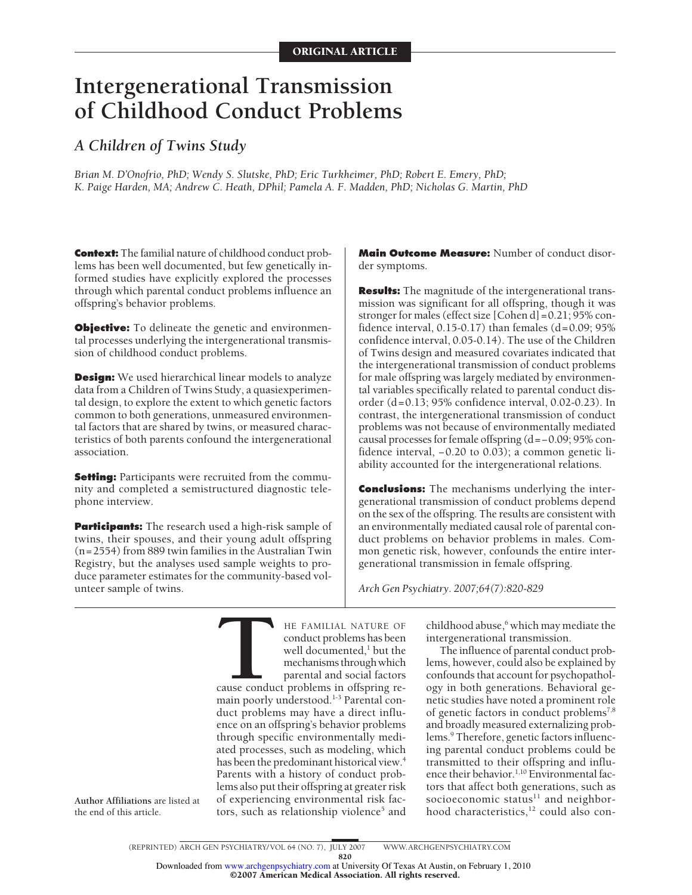# **Intergenerational Transmission of Childhood Conduct Problems**

# *A Children of Twins Study*

*Brian M. D'Onofrio, PhD; Wendy S. Slutske, PhD; Eric Turkheimer, PhD; Robert E. Emery, PhD; K. Paige Harden, MA; Andrew C. Heath, DPhil; Pamela A. F. Madden, PhD; Nicholas G. Martin, PhD*

**Context:** The familial nature of childhood conduct problems has been well documented, but few genetically informed studies have explicitly explored the processes through which parental conduct problems influence an offspring's behavior problems.

**Objective:** To delineate the genetic and environmental processes underlying the intergenerational transmission of childhood conduct problems.

**Design:** We used hierarchical linear models to analyze data from a Children of Twins Study, a quasiexperimental design, to explore the extent to which genetic factors common to both generations, unmeasured environmental factors that are shared by twins, or measured characteristics of both parents confound the intergenerational association.

**Setting:** Participants were recruited from the community and completed a semistructured diagnostic telephone interview.

**Participants:** The research used a high-risk sample of twins, their spouses, and their young adult offspring (n=2554) from 889 twin families in the Australian Twin Registry, but the analyses used sample weights to produce parameter estimates for the community-based volunteer sample of twins.

**Main Outcome Measure:** Number of conduct disorder symptoms.

**Results:** The magnitude of the intergenerational transmission was significant for all offspring, though it was stronger for males (effect size [Cohen d]=0.21; 95% confidence interval,  $0.15$ - $0.17$ ) than females  $(d=0.09; 95%)$ confidence interval, 0.05-0.14). The use of the Children of Twins design and measured covariates indicated that the intergenerational transmission of conduct problems for male offspring was largely mediated by environmental variables specifically related to parental conduct disorder (d=0.13; 95% confidence interval, 0.02-0.23). In contrast, the intergenerational transmission of conduct problems was not because of environmentally mediated causal processes for female offspring (d=−0.09; 95% confidence interval, −0.20 to 0.03); a common genetic liability accounted for the intergenerational relations.

**Conclusions:** The mechanisms underlying the intergenerational transmission of conduct problems depend on the sex of the offspring. The results are consistent with an environmentally mediated causal role of parental conduct problems on behavior problems in males. Common genetic risk, however, confounds the entire intergenerational transmission in female offspring.

*Arch Gen Psychiatry. 2007;64(7):820-829*

**THE FAMILIAL NATURE OF**<br>
conduct problems has been<br>
well documented,<sup>1</sup> but the<br>
mechanisms through which<br>
parental and social factors<br>
cause conduct problems in offspring re-<br>
main poorly understood <sup>13</sup> Parental con conduct problems has been well documented, $\frac{1}{2}$  but the mechanisms through which parental and social factors main poorly understood.<sup>1-3</sup> Parental conduct problems may have a direct influence on an offspring's behavior problems through specific environmentally mediated processes, such as modeling, which has been the predominant historical view.<sup>4</sup> Parents with a history of conduct problems also put their offspring at greater risk of experiencing environmental risk factors, such as relationship violence<sup>5</sup> and

childhood abuse, $6$  which may mediate the intergenerational transmission.

The influence of parental conduct problems, however, could also be explained by confounds that account for psychopathology in both generations. Behavioral genetic studies have noted a prominent role of genetic factors in conduct problems<sup>7,8</sup> and broadly measured externalizing problems.<sup>9</sup> Therefore, genetic factors influencing parental conduct problems could be transmitted to their offspring and influence their behavior.<sup>1,10</sup> Environmental factors that affect both generations, such as socioeconomic status<sup>11</sup> and neighborhood characteristics, $12$  could also con-

**Author Affiliations** are listed at the end of this article.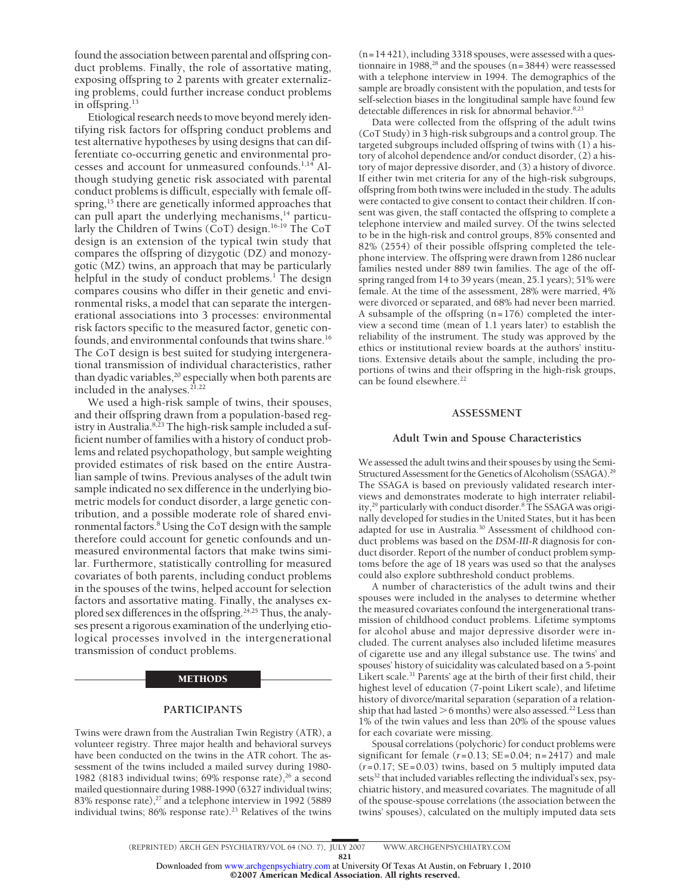found the association between parental and offspring conduct problems. Finally, the role of assortative mating, exposing offspring to 2 parents with greater externalizing problems, could further increase conduct problems in offspring.13

Etiological research needs to move beyond merely identifying risk factors for offspring conduct problems and test alternative hypotheses by using designs that can differentiate co-occurring genetic and environmental processes and account for unmeasured confounds.<sup>1,14</sup> Although studying genetic risk associated with parental conduct problems is difficult, especially with female offspring,<sup>15</sup> there are genetically informed approaches that can pull apart the underlying mechanisms,<sup>14</sup> particularly the Children of Twins (CoT) design.16-19 The CoT design is an extension of the typical twin study that compares the offspring of dizygotic (DZ) and monozygotic (MZ) twins, an approach that may be particularly helpful in the study of conduct problems.<sup>1</sup> The design compares cousins who differ in their genetic and environmental risks, a model that can separate the intergenerational associations into 3 processes: environmental risk factors specific to the measured factor, genetic confounds, and environmental confounds that twins share.<sup>16</sup> The CoT design is best suited for studying intergenerational transmission of individual characteristics, rather than dyadic variables, $20$  especially when both parents are included in the analyses.<sup>21,22</sup>

We used a high-risk sample of twins, their spouses, and their offspring drawn from a population-based registry in Australia.<sup>8,23</sup> The high-risk sample included a sufficient number of families with a history of conduct problems and related psychopathology, but sample weighting provided estimates of risk based on the entire Australian sample of twins. Previous analyses of the adult twin sample indicated no sex difference in the underlying biometric models for conduct disorder, a large genetic contribution, and a possible moderate role of shared environmental factors.8 Using the CoT design with the sample therefore could account for genetic confounds and unmeasured environmental factors that make twins similar. Furthermore, statistically controlling for measured covariates of both parents, including conduct problems in the spouses of the twins, helped account for selection factors and assortative mating. Finally, the analyses explored sex differences in the offspring.<sup>24,25</sup> Thus, the analyses present a rigorous examination of the underlying etiological processes involved in the intergenerational transmission of conduct problems.

#### METHODS

## **PARTICIPANTS**

Twins were drawn from the Australian Twin Registry (ATR), a volunteer registry. Three major health and behavioral surveys have been conducted on the twins in the ATR cohort. The assessment of the twins included a mailed survey during 1980- 1982 (8183 individual twins; 69% response rate), $^{26}$  a second mailed questionnaire during 1988-1990 (6327 individual twins; 83% response rate),<sup>27</sup> and a telephone interview in 1992 (5889 individual twins; 86% response rate).<sup>23</sup> Relatives of the twins

(n=14 421), including 3318 spouses, were assessed with a questionnaire in 1988, $^{28}$  and the spouses (n=3844) were reassessed with a telephone interview in 1994. The demographics of the sample are broadly consistent with the population, and tests for self-selection biases in the longitudinal sample have found few detectable differences in risk for abnormal behavior.<sup>8,23</sup>

Data were collected from the offspring of the adult twins (CoT Study) in 3 high-risk subgroups and a control group. The targeted subgroups included offspring of twins with (1) a history of alcohol dependence and/or conduct disorder, (2) a history of major depressive disorder, and (3) a history of divorce. If either twin met criteria for any of the high-risk subgroups, offspring from both twins were included in the study. The adults were contacted to give consent to contact their children. If consent was given, the staff contacted the offspring to complete a telephone interview and mailed survey. Of the twins selected to be in the high-risk and control groups, 85% consented and 82% (2554) of their possible offspring completed the telephone interview. The offspring were drawn from 1286 nuclear families nested under 889 twin families. The age of the offspring ranged from 14 to 39 years (mean, 25.1 years); 51% were female. At the time of the assessment, 28% were married, 4% were divorced or separated, and 68% had never been married. A subsample of the offspring (n=176) completed the interview a second time (mean of 1.1 years later) to establish the reliability of the instrument. The study was approved by the ethics or institutional review boards at the authors' institutions. Extensive details about the sample, including the proportions of twins and their offspring in the high-risk groups, can be found elsewhere.<sup>22</sup>

#### **ASSESSMENT**

#### **Adult Twin and Spouse Characteristics**

We assessed the adult twins and their spouses by using the Semi-Structured Assessment for the Genetics of Alcoholism (SSAGA).<sup>29</sup> The SSAGA is based on previously validated research interviews and demonstrates moderate to high interrater reliability,<sup>29</sup> particularly with conduct disorder.<sup>8</sup> The SSAGA was originally developed for studies in the United States, but it has been adapted for use in Australia.30 Assessment of childhood conduct problems was based on the *DSM-III-R* diagnosis for conduct disorder. Report of the number of conduct problem symptoms before the age of 18 years was used so that the analyses could also explore subthreshold conduct problems.

A number of characteristics of the adult twins and their spouses were included in the analyses to determine whether the measured covariates confound the intergenerational transmission of childhood conduct problems. Lifetime symptoms for alcohol abuse and major depressive disorder were included. The current analyses also included lifetime measures of cigarette use and any illegal substance use. The twins' and spouses' history of suicidality was calculated based on a 5-point Likert scale.<sup>31</sup> Parents' age at the birth of their first child, their highest level of education (7-point Likert scale), and lifetime history of divorce/marital separation (separation of a relationship that had lasted  $>$  6 months) were also assessed.<sup>22</sup> Less than 1% of the twin values and less than 20% of the spouse values for each covariate were missing.

Spousal correlations (polychoric) for conduct problems were significant for female  $(r=0.13; SE=0.04; n=2417)$  and male  $(r=0.17; SE=0.03)$  twins, based on 5 multiply imputed data sets<sup>32</sup> that included variables reflecting the individual's sex, psychiatric history, and measured covariates. The magnitude of all of the spouse-spouse correlations (the association between the twins' spouses), calculated on the multiply imputed data sets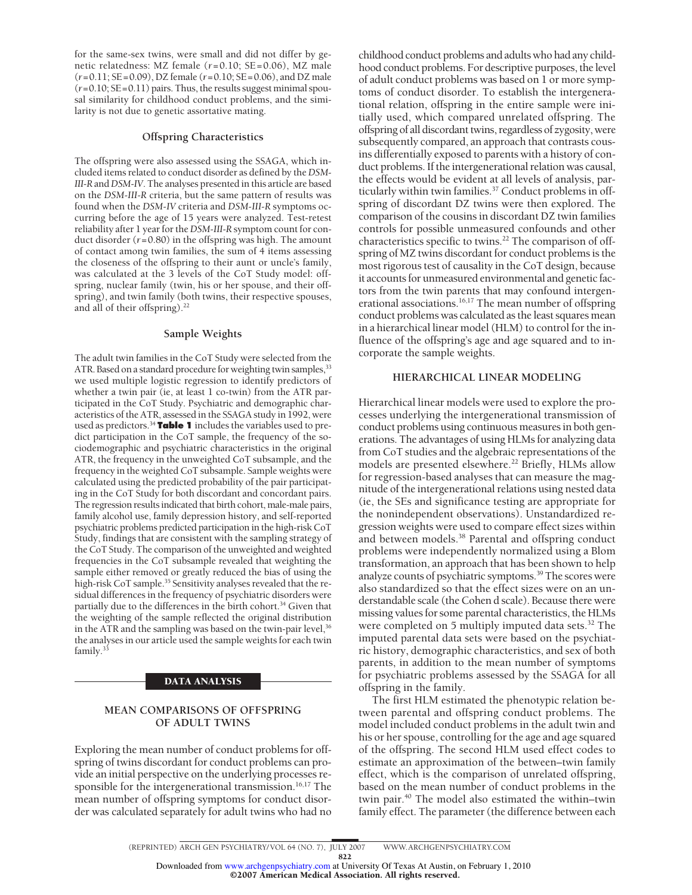for the same-sex twins, were small and did not differ by genetic relatedness: MZ female (*r*=0.10; SE=0.06), MZ male (*r*=0.11; SE=0.09), DZ female (*r*=0.10; SE=0.06), and DZ male  $(r=0.10; SE=0.11)$  pairs. Thus, the results suggest minimal spousal similarity for childhood conduct problems, and the similarity is not due to genetic assortative mating.

### **Offspring Characteristics**

The offspring were also assessed using the SSAGA, which included items related to conduct disorder as defined by the *DSM-III-R* and*DSM-IV*. The analyses presented in this article are based on the *DSM-III-R* criteria, but the same pattern of results was found when the *DSM-IV* criteria and *DSM-III-R* symptoms occurring before the age of 15 years were analyzed. Test-retest reliability after 1 year for the*DSM-III-R* symptom count for conduct disorder (*r*=0.80) in the offspring was high. The amount of contact among twin families, the sum of 4 items assessing the closeness of the offspring to their aunt or uncle's family, was calculated at the 3 levels of the CoT Study model: offspring, nuclear family (twin, his or her spouse, and their offspring), and twin family (both twins, their respective spouses, and all of their offspring).<sup>22</sup>

#### **Sample Weights**

The adult twin families in the CoT Study were selected from the ATR. Based on a standard procedure for weighting twin samples, 33 we used multiple logistic regression to identify predictors of whether a twin pair (ie, at least 1 co-twin) from the ATR participated in the CoT Study. Psychiatric and demographic characteristics of the ATR, assessed in the SSAGA study in 1992, were used as predictors.34 **Table 1** includes the variables used to predict participation in the CoT sample, the frequency of the sociodemographic and psychiatric characteristics in the original ATR, the frequency in the unweighted CoT subsample, and the frequency in the weighted CoT subsample. Sample weights were calculated using the predicted probability of the pair participating in the CoT Study for both discordant and concordant pairs. The regression results indicated that birth cohort, male-male pairs, family alcohol use, family depression history, and self-reported psychiatric problems predicted participation in the high-risk CoT Study, findings that are consistent with the sampling strategy of the CoT Study. The comparison of the unweighted and weighted frequencies in the CoT subsample revealed that weighting the sample either removed or greatly reduced the bias of using the high-risk CoT sample.<sup>35</sup> Sensitivity analyses revealed that the residual differences in the frequency of psychiatric disorders were partially due to the differences in the birth cohort.<sup>34</sup> Given that the weighting of the sample reflected the original distribution in the ATR and the sampling was based on the twin-pair level,<sup>36</sup> the analyses in our article used the sample weights for each twin family.<sup>33</sup>

# DATA ANALYSIS

# **MEAN COMPARISONS OF OFFSPRING OF ADULT TWINS**

Exploring the mean number of conduct problems for offspring of twins discordant for conduct problems can provide an initial perspective on the underlying processes responsible for the intergenerational transmission.<sup>16,17</sup> The mean number of offspring symptoms for conduct disorder was calculated separately for adult twins who had no

childhood conduct problems and adults who had any childhood conduct problems. For descriptive purposes, the level of adult conduct problems was based on 1 or more symptoms of conduct disorder. To establish the intergenerational relation, offspring in the entire sample were initially used, which compared unrelated offspring. The offspring of all discordant twins, regardless of zygosity, were subsequently compared, an approach that contrasts cousins differentially exposed to parents with a history of conduct problems. If the intergenerational relation was causal, the effects would be evident at all levels of analysis, particularly within twin families.<sup>37</sup> Conduct problems in offspring of discordant DZ twins were then explored. The comparison of the cousins in discordant DZ twin families controls for possible unmeasured confounds and other characteristics specific to twins.<sup>22</sup> The comparison of offspring of MZ twins discordant for conduct problems is the most rigorous test of causality in the CoT design, because it accounts for unmeasured environmental and genetic factors from the twin parents that may confound intergenerational associations.<sup>16,17</sup> The mean number of offspring conduct problems was calculated as the least squares mean in a hierarchical linear model (HLM) to control for the influence of the offspring's age and age squared and to incorporate the sample weights.

#### **HIERARCHICAL LINEAR MODELING**

Hierarchical linear models were used to explore the processes underlying the intergenerational transmission of conduct problems using continuous measures in both generations. The advantages of using HLMs for analyzing data from CoT studies and the algebraic representations of the models are presented elsewhere.<sup>22</sup> Briefly, HLMs allow for regression-based analyses that can measure the magnitude of the intergenerational relations using nested data (ie, the SEs and significance testing are appropriate for the nonindependent observations). Unstandardized regression weights were used to compare effect sizes within and between models.38 Parental and offspring conduct problems were independently normalized using a Blom transformation, an approach that has been shown to help analyze counts of psychiatric symptoms.39 The scores were also standardized so that the effect sizes were on an understandable scale (the Cohen d scale). Because there were missing values for some parental characteristics, the HLMs were completed on 5 multiply imputed data sets. $32$  The imputed parental data sets were based on the psychiatric history, demographic characteristics, and sex of both parents, in addition to the mean number of symptoms for psychiatric problems assessed by the SSAGA for all offspring in the family.

The first HLM estimated the phenotypic relation between parental and offspring conduct problems. The model included conduct problems in the adult twin and his or her spouse, controlling for the age and age squared of the offspring. The second HLM used effect codes to estimate an approximation of the between–twin family effect, which is the comparison of unrelated offspring, based on the mean number of conduct problems in the twin pair.<sup>40</sup> The model also estimated the within–twin family effect. The parameter (the difference between each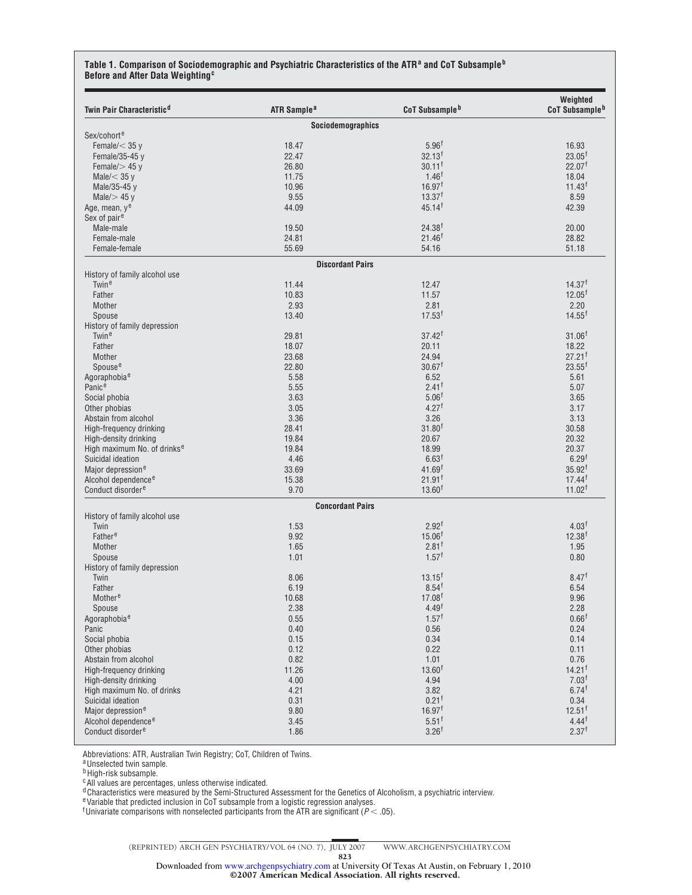#### **Table 1. Comparison of Sociodemographic and Psychiatric Characteristics of the ATR<sup>a</sup> and CoT Subsample<sup>b</sup> Before and After Data Weighting<sup>c</sup>**

| Twin Pair Characteristic <sup>d</sup>   | ATR Sample <sup>a</sup>  | CoT Subsample <sup>b</sup>                | Weighted<br>CoT Subsample <sup>b</sup> |
|-----------------------------------------|--------------------------|-------------------------------------------|----------------------------------------|
|                                         | <b>Sociodemographics</b> |                                           |                                        |
| Sex/cohort <sup>e</sup>                 |                          |                                           |                                        |
| Female/ $<$ 35 y                        | 18.47                    | $5.96^{\dagger}$                          | 16.93                                  |
| Female/35-45 y                          | 22.47                    | $32.13^{f}$                               | $23.05^{\dagger}$                      |
| Female/ $>$ 45 y                        | 26.80                    | $30.11$ <sup>f</sup>                      | 22.07 <sup>1</sup>                     |
| Male/ $<$ 35 y                          | 11.75                    | $1.46^{f}$                                | 18.04                                  |
| Male/35-45 y                            | 10.96                    | 16.97 <sup>1</sup>                        | 11.43 <sup>†</sup>                     |
| Male $/$ 45 y                           | 9.55                     | $13.37^{f}$                               | 8.59                                   |
| Age, mean, ye                           | 44.09                    | $45.14$ <sup>f</sup>                      | 42.39                                  |
| Sex of pair <sup>e</sup>                |                          |                                           |                                        |
| Male-male                               | 19.50                    | 24.38 <sup>†</sup>                        | 20.00                                  |
| Female-male                             | 24.81                    | 21.46 <sup>†</sup>                        | 28.82                                  |
| Female-female                           | 55.69                    | 54.16                                     | 51.18                                  |
|                                         | <b>Discordant Pairs</b>  |                                           |                                        |
| History of family alcohol use           |                          |                                           |                                        |
| Twin <sup>e</sup>                       | 11.44                    | 12.47                                     | 14.37 <sup>†</sup>                     |
| Father                                  | 10.83                    | 11.57                                     | 12.05 <sup>†</sup>                     |
| Mother                                  | 2.93                     | 2.81                                      | 2.20                                   |
| Spouse                                  | 13.40                    | 17.53 <sup>†</sup>                        | $14.55^{\text{f}}$                     |
| History of family depression            |                          |                                           |                                        |
| Twin <sup>e</sup>                       | 29.81                    | $37.42^{f}$                               | 31.06 <sup>†</sup>                     |
| Father                                  | 18.07                    | 20.11                                     | 18.22                                  |
| Mother                                  | 23.68                    | 24.94                                     | $27.21$ <sup>f</sup>                   |
| Spouse <sup>e</sup>                     | 22.80                    | 30.67 <sup>1</sup>                        | $23.55^{\text{f}}$                     |
| Agoraphobia <sup>e</sup>                | 5.58                     | 6.52                                      | 5.61                                   |
| Panice                                  | 5.55                     | 2.41 <sup>†</sup>                         | 5.07                                   |
| Social phobia                           | 3.63                     | 5.06 <sup>†</sup>                         | 3.65                                   |
| Other phobias                           | 3.05                     | 4.27 <sup>†</sup>                         | 3.17                                   |
| Abstain from alcohol                    | 3.36                     | 3.26                                      | 3.13                                   |
| High-frequency drinking                 | 28.41                    | 31.80 <sup>†</sup>                        | 30.58                                  |
| High-density drinking                   | 19.84                    | 20.67                                     | 20.32                                  |
| High maximum No. of drinks <sup>e</sup> | 19.84                    | 18.99                                     | 20.37                                  |
| Suicidal ideation                       | 4.46                     | 6.63 <sup>†</sup>                         | 6.29 <sup>†</sup>                      |
| Major depression <sup>e</sup>           | 33.69                    | 41.69 <sup>†</sup>                        | 35.92 <sup>†</sup>                     |
| Alcohol dependence <sup>e</sup>         | 15.38                    | $21.91$ <sup>f</sup>                      | $17.44^{\dagger}$                      |
| Conduct disorder <sup>e</sup>           | 9.70                     | $13.60^{f}$                               | 11.02 <sup>f</sup>                     |
|                                         | <b>Concordant Pairs</b>  |                                           |                                        |
| History of family alcohol use           | 1.53                     | 2.92 <sup>†</sup>                         |                                        |
| Twin                                    |                          |                                           | 4.03 <sup>†</sup>                      |
| Father <sup>e</sup>                     | 9.92<br>1.65             | 15.06 <sup>†</sup><br>$2.81$ <sup>f</sup> | $12.38^{f}$<br>1.95                    |
| Mother                                  |                          | $1.57^{\dagger}$                          | 0.80                                   |
| Spouse                                  | 1.01                     |                                           |                                        |
| History of family depression            |                          |                                           |                                        |
| Twin                                    | 8.06                     | $13.15^{f}$<br>$8.54^{f}$                 | 8.47 <sup>†</sup><br>6.54              |
| Father                                  | 6.19                     |                                           |                                        |
| Mother <sup>e</sup>                     | 10.68                    | 17.08 <sup>f</sup>                        | 9.96                                   |
| Spouse                                  | 2.38                     | 4.49 <sup>†</sup><br>$1.57^{\dagger}$     | 2.28<br>0.66 <sup>f</sup>              |
| Agoraphobia <sup>e</sup>                | 0.55                     |                                           |                                        |
| Panic                                   | 0.40                     | 0.56                                      | 0.24                                   |
| Social phobia                           | 0.15                     | 0.34                                      | 0.14                                   |
| Other phobias                           | 0.12                     | 0.22                                      | 0.11                                   |
| Abstain from alcohol                    | 0.82                     | 1.01                                      | 0.76<br>$14.21$ <sup>f</sup>           |
| High-frequency drinking                 | 11.26                    | 13.60 <sup>†</sup>                        |                                        |
| High-density drinking                   | 4.00                     | 4.94                                      | 7.03 <sup>†</sup>                      |
| High maximum No. of drinks              | 4.21                     | 3.82                                      | $6.74^{f}$                             |
| Suicidal ideation                       | 0.31                     | $0.21$ <sup>f</sup>                       | 0.34                                   |
| Major depression <sup>e</sup>           | 9.80                     | 16.97 <sup>1</sup>                        | $12.51$ <sup>f</sup>                   |
| Alcohol dependence <sup>e</sup>         | 3.45                     | $5.51^{\dagger}$                          | $4.44^{\dagger}$                       |
| Conduct disorder <sup>e</sup>           | 1.86                     | 3.26 <sup>f</sup>                         | 2.37 <sup>†</sup>                      |

Abbreviations: ATR, Australian Twin Registry; CoT, Children of Twins.

a Unselected twin sample.

<sup>b</sup>High-risk subsample.

<sup>c</sup>All values are percentages, unless otherwise indicated.

<sup>d</sup> Characteristics were measured by the Semi-Structured Assessment for the Genetics of Alcoholism, a psychiatric interview.

eVariable that predicted inclusion in CoT subsample from a logistic regression analyses.

<sup>f</sup> Univariate comparisons with nonselected participants from the ATR are significant ( $P < .05$ ).

©2007 American Medical Association. All rights reserved. Downloaded from [www.archgenpsychiatry.com](http://www.archgenpsychiatry.com) at University Of Texas At Austin, on February 1, 2010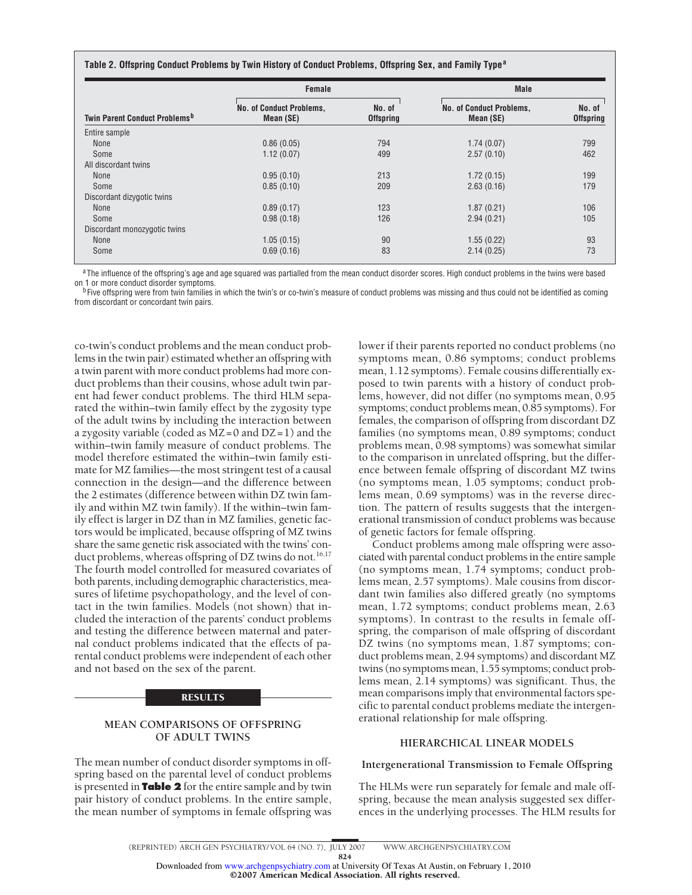| "Table 2. Offspring Conduct Problems by Twin History of Conduct Problems, Offspring Sex, and Family Type |  |  |
|----------------------------------------------------------------------------------------------------------|--|--|
|----------------------------------------------------------------------------------------------------------|--|--|

|                                           | Female                                       |                            | <b>Male</b>                                  |                            |  |
|-------------------------------------------|----------------------------------------------|----------------------------|----------------------------------------------|----------------------------|--|
| Twin Parent Conduct Problems <sup>b</sup> | <b>No. of Conduct Problems,</b><br>Mean (SE) | No. of<br><b>Offspring</b> | <b>No. of Conduct Problems,</b><br>Mean (SE) | No. of<br><b>Offspring</b> |  |
| Entire sample                             |                                              |                            |                                              |                            |  |
| None                                      | 0.86(0.05)                                   | 794                        | 1.74(0.07)                                   | 799                        |  |
| Some                                      | 1.12(0.07)                                   | 499                        | 2.57(0.10)                                   | 462                        |  |
| All discordant twins                      |                                              |                            |                                              |                            |  |
| None                                      | 0.95(0.10)                                   | 213                        | 1.72(0.15)                                   | 199                        |  |
| Some                                      | 0.85(0.10)                                   | 209                        | 2.63(0.16)                                   | 179                        |  |
| Discordant dizygotic twins                |                                              |                            |                                              |                            |  |
| None                                      | 0.89(0.17)                                   | 123                        | 1.87(0.21)                                   | 106                        |  |
| Some                                      | 0.98(0.18)                                   | 126                        | 2.94(0.21)                                   | 105                        |  |
| Discordant monozygotic twins              |                                              |                            |                                              |                            |  |
| None                                      | 1.05(0.15)                                   | 90                         | 1.55(0.22)                                   | 93                         |  |
| Some                                      | 0.69(0.16)                                   | 83                         | 2.14(0.25)                                   | 73                         |  |

<sup>a</sup>The influence of the offspring's age and age squared was partialled from the mean conduct disorder scores. High conduct problems in the twins were based on 1 or more conduct disorder symptoms.<br><sup>b F</sup>ive offspring were from twin families in which the twin's or co-twin's measure of conduct problems was missing and thus could not be identified as coming

from discordant or concordant twin pairs.

co-twin's conduct problems and the mean conduct problems in the twin pair) estimated whether an offspring with a twin parent with more conduct problems had more conduct problems than their cousins, whose adult twin parent had fewer conduct problems. The third HLM separated the within–twin family effect by the zygosity type of the adult twins by including the interaction between a zygosity variable (coded as  $MZ=0$  and  $DZ=1$ ) and the within–twin family measure of conduct problems. The model therefore estimated the within–twin family estimate for MZ families—the most stringent test of a causal connection in the design—and the difference between the 2 estimates (difference between within DZ twin family and within MZ twin family). If the within–twin family effect is larger in DZ than in MZ families, genetic factors would be implicated, because offspring of MZ twins share the same genetic risk associated with the twins' conduct problems, whereas offspring of DZ twins do not.<sup>16,17</sup> The fourth model controlled for measured covariates of both parents, including demographic characteristics, measures of lifetime psychopathology, and the level of contact in the twin families. Models (not shown) that included the interaction of the parents' conduct problems and testing the difference between maternal and paternal conduct problems indicated that the effects of parental conduct problems were independent of each other and not based on the sex of the parent.

# RESULTS

# **MEAN COMPARISONS OF OFFSPRING OF ADULT TWINS**

The mean number of conduct disorder symptoms in offspring based on the parental level of conduct problems is presented in **Table 2** for the entire sample and by twin pair history of conduct problems. In the entire sample, the mean number of symptoms in female offspring was

lower if their parents reported no conduct problems (no symptoms mean, 0.86 symptoms; conduct problems mean, 1.12 symptoms). Female cousins differentially exposed to twin parents with a history of conduct problems, however, did not differ (no symptoms mean, 0.95 symptoms; conduct problems mean, 0.85 symptoms). For females, the comparison of offspring from discordant DZ families (no symptoms mean, 0.89 symptoms; conduct problems mean, 0.98 symptoms) was somewhat similar to the comparison in unrelated offspring, but the difference between female offspring of discordant MZ twins (no symptoms mean, 1.05 symptoms; conduct problems mean, 0.69 symptoms) was in the reverse direction. The pattern of results suggests that the intergenerational transmission of conduct problems was because of genetic factors for female offspring.

Conduct problems among male offspring were associated with parental conduct problems in the entire sample (no symptoms mean, 1.74 symptoms; conduct problems mean, 2.57 symptoms). Male cousins from discordant twin families also differed greatly (no symptoms mean, 1.72 symptoms; conduct problems mean, 2.63 symptoms). In contrast to the results in female offspring, the comparison of male offspring of discordant DZ twins (no symptoms mean, 1.87 symptoms; conduct problems mean, 2.94 symptoms) and discordant MZ twins (no symptoms mean, 1.55 symptoms; conduct problems mean, 2.14 symptoms) was significant. Thus, the mean comparisons imply that environmental factors specific to parental conduct problems mediate the intergenerational relationship for male offspring.

# **HIERARCHICAL LINEAR MODELS**

#### **Intergenerational Transmission to Female Offspring**

The HLMs were run separately for female and male offspring, because the mean analysis suggested sex differences in the underlying processes. The HLM results for

©2007 American Medical Association. All rights reserved.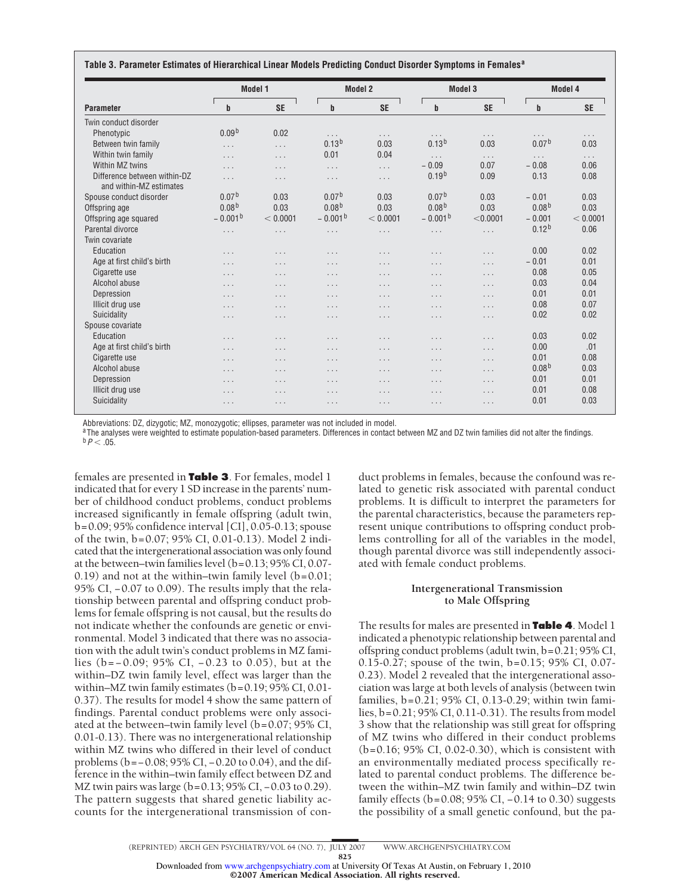| <b>Parameter</b>                                        | <b>Model 1</b>    |           | <b>Model 2</b>    |           | <b>Model 3</b>    |           | Model 4           |           |
|---------------------------------------------------------|-------------------|-----------|-------------------|-----------|-------------------|-----------|-------------------|-----------|
|                                                         | b                 | <b>SE</b> | b                 | <b>SE</b> | b                 | <b>SE</b> | $\mathbf b$       | <b>SE</b> |
| Twin conduct disorder                                   |                   |           |                   |           |                   |           |                   |           |
| Phenotypic                                              | 0.09 <sup>b</sup> | 0.02      | $\cdots$          | .         | $\cdots$          | $\cdots$  | $\cdots$          | $\cdots$  |
| Between twin family                                     | $\cdots$          | .         | 0.13 <sup>b</sup> | 0.03      | 0.13 <sup>b</sup> | 0.03      | 0.07 <sup>b</sup> | 0.03      |
| Within twin family                                      | $\cdots$          | $\cdots$  | 0.01              | 0.04      | .                 | $\cdots$  | .                 | $\cdots$  |
| Within MZ twins                                         | .                 | .         | .                 | .         | $-0.09$           | 0.07      | $-0.08$           | 0.06      |
| Difference between within-DZ<br>and within-MZ estimates | $\cdots$          | .         | .                 | .         | 0.19 <sup>b</sup> | 0.09      | 0.13              | 0.08      |
| Spouse conduct disorder                                 | 0.07 <sup>b</sup> | 0.03      | 0.07 <sup>b</sup> | 0.03      | 0.07 <sup>b</sup> | 0.03      | $-0.01$           | 0.03      |
| Offspring age                                           | 0.08 <sup>b</sup> | 0.03      | 0.08 <sup>b</sup> | 0.03      | 0.08 <sup>b</sup> | 0.03      | 0.08 <sup>b</sup> | 0.03      |
| Offspring age squared                                   | $-0.001b$         | < 0.0001  | $-0.001b$         | < 0.0001  | $-0.001b$         | < 0.0001  | $-0.001$          | < 0.0001  |
| Parental divorce                                        | $\cdots$          | .         | .                 | .         | $\cdots$          | $\cdots$  | 0.12 <sup>b</sup> | 0.06      |
| Twin covariate                                          |                   |           |                   |           |                   |           |                   |           |
| Education                                               | $\cdots$          | .         | .                 | $\cdots$  | .                 | $\cdots$  | 0.00              | 0.02      |
| Age at first child's birth                              | .                 | .         | $\cdots$          | .         | .                 | $\cdots$  | $-0.01$           | 0.01      |
| Cigarette use                                           | $\cdots$          | .         | .                 | .         | .                 | $\cdots$  | 0.08              | 0.05      |
| Alcohol abuse                                           | $\cdots$          | .         | .                 | .         | .                 | $\cdots$  | 0.03              | 0.04      |
| Depression                                              | $\cdots$          | .         | .                 | .         | .                 | $\cdots$  | 0.01              | 0.01      |
| Illicit drug use                                        | .                 | .         | .                 | .         | .                 | $\cdots$  | 0.08              | 0.07      |
| Suicidality                                             | .                 | .         | .                 | .         | .                 | $\cdots$  | 0.02              | 0.02      |
| Spouse covariate                                        |                   |           |                   |           |                   |           |                   |           |
| Education                                               | $\cdots$          | .         | $\cdots$          | $\cdots$  | .                 | $\cdots$  | 0.03              | 0.02      |
| Age at first child's birth                              | .                 | .         | .                 | .         | .                 | $\cdots$  | 0.00              | .01       |
| Cigarette use                                           | .                 | .         | .                 | .         | .                 | $\cdots$  | 0.01              | 0.08      |
| Alcohol abuse                                           | .                 | .         | .                 | .         | .                 | $\cdots$  | 0.08 <sup>b</sup> | 0.03      |
| Depression                                              | .                 | .         | $\cdots$          | .         | .                 | $\cdots$  | 0.01              | 0.01      |
| Illicit drug use                                        | .                 | .         | .                 | .         | .                 | $\cdots$  | 0.01              | 0.08      |
| Suicidality                                             | $\cdots$          | .         | .                 | $\cdots$  | $\cdots$          | $\cdots$  | 0.01              | 0.03      |

Abbreviations: DZ, dizygotic; MZ, monozygotic; ellipses, parameter was not included in model.

<sup>a</sup>The analyses were weighted to estimate population-based parameters. Differences in contact between MZ and DZ twin families did not alter the findings.<br><sup>b</sup>  $P$  < .05.

females are presented in **Table 3**. For females, model 1 indicated that for every 1 SD increase in the parents' number of childhood conduct problems, conduct problems increased significantly in female offspring (adult twin, b=0.09; 95% confidence interval [CI], 0.05-0.13; spouse of the twin, b=0.07; 95% CI, 0.01-0.13). Model 2 indicated that the intergenerational association was only found at the between–twin families level (b=0.13; 95% CI, 0.07- 0.19) and not at the within–twin family level  $(b=0.01;$ 95% CI, -0.07 to 0.09). The results imply that the relationship between parental and offspring conduct problems for female offspring is not causal, but the results do not indicate whether the confounds are genetic or environmental. Model 3 indicated that there was no association with the adult twin's conduct problems in MZ families (b= − 0.09; 95% CI, − 0.23 to 0.05), but at the within–DZ twin family level, effect was larger than the within–MZ twin family estimates (b=0.19; 95% CI, 0.01- 0.37). The results for model 4 show the same pattern of findings. Parental conduct problems were only associated at the between–twin family level (b=0.07; 95% CI, 0.01-0.13). There was no intergenerational relationship within MZ twins who differed in their level of conduct problems (b=−0.08; 95% CI, −0.20 to 0.04), and the difference in the within–twin family effect between DZ and MZ twin pairs was large (b=0.13; 95% CI, −0.03 to 0.29). The pattern suggests that shared genetic liability accounts for the intergenerational transmission of con-

duct problems in females, because the confound was related to genetic risk associated with parental conduct problems. It is difficult to interpret the parameters for the parental characteristics, because the parameters represent unique contributions to offspring conduct problems controlling for all of the variables in the model, though parental divorce was still independently associated with female conduct problems.

# **Intergenerational Transmission to Male Offspring**

The results for males are presented in **Table 4**. Model 1 indicated a phenotypic relationship between parental and offspring conduct problems (adult twin, b=0.21; 95% CI, 0.15-0.27; spouse of the twin, b=0.15; 95% CI, 0.07- 0.23). Model 2 revealed that the intergenerational association was large at both levels of analysis (between twin families, b=0.21; 95% CI, 0.13-0.29; within twin families, b=0.21; 95% CI, 0.11-0.31). The results from model 3 show that the relationship was still great for offspring of MZ twins who differed in their conduct problems (b*=*0.16; 95% CI, 0.02-0.30), which is consistent with an environmentally mediated process specifically related to parental conduct problems. The difference between the within–MZ twin family and within–DZ twin family effects (b=0.08; 95% CI, −0.14 to 0.30) suggests the possibility of a small genetic confound, but the pa-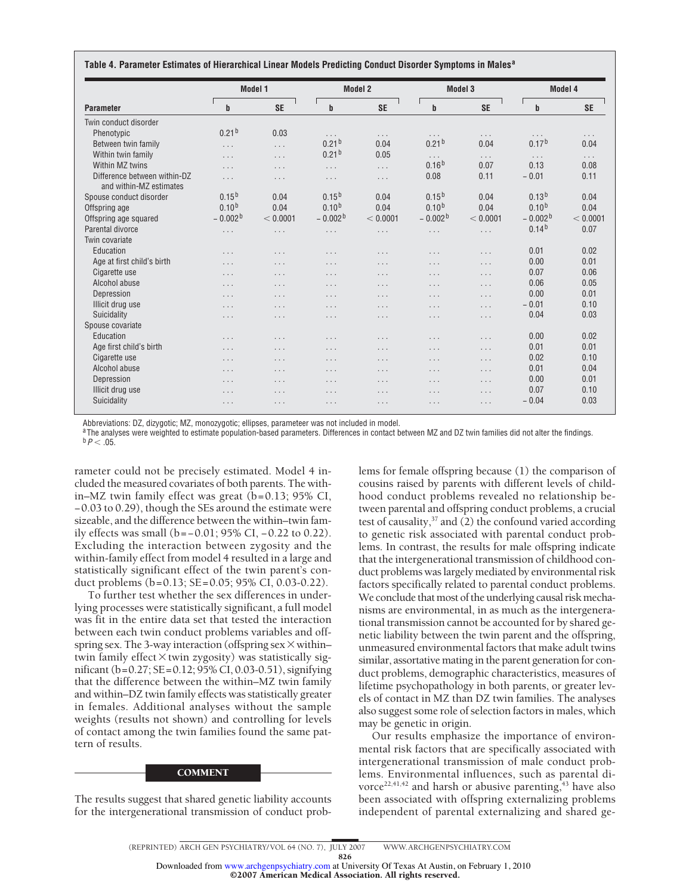| <b>Parameter</b>                                        | Model 1           |           | <b>Model 2</b>    |           | Model 3              |           | Model 4           |           |
|---------------------------------------------------------|-------------------|-----------|-------------------|-----------|----------------------|-----------|-------------------|-----------|
|                                                         | $\mathbf b$       | <b>SE</b> | $\mathbf b$       | <b>SE</b> | b                    | <b>SE</b> | $\mathbf b$       | <b>SE</b> |
| Twin conduct disorder                                   |                   |           |                   |           |                      |           |                   |           |
| Phenotypic                                              | 0.21 <sup>b</sup> | 0.03      | $\cdots$          | $\cdots$  | $\cdots$             | $\cdots$  | $\cdots$          | $\cdots$  |
| Between twin family                                     | $\cdots$          | $\cdots$  | 0.21 <sup>b</sup> | 0.04      | 0.21 <sup>b</sup>    | 0.04      | 0.17 <sup>b</sup> | 0.04      |
| Within twin family                                      | $\cdots$          | $\cdots$  | 0.21 <sup>b</sup> | 0.05      | $\cdots$             | $\cdots$  | $\cdots$          | $\cdots$  |
| Within MZ twins                                         | $\cdots$          | $\cdots$  | $\cdots$          | $\cdots$  | $0.16^{b}$           | 0.07      | 0.13              | 0.08      |
| Difference between within-DZ<br>and within-MZ estimates | $\cdots$          | $\cdots$  | $\cdots$          | $\cdots$  | 0.08                 | 0.11      | $-0.01$           | 0.11      |
| Spouse conduct disorder                                 | $0.15^{b}$        | 0.04      | $0.15^{b}$        | 0.04      | $0.15^{b}$           | 0.04      | 0.13 <sup>b</sup> | 0.04      |
| Offspring age                                           | $0.10^{b}$        | 0.04      | $0.10^{b}$        | 0.04      | $0.10^{b}$           | 0.04      | 0.10 <sup>b</sup> | 0.04      |
| Offspring age squared                                   | $-0.002b$         | < 0.0001  | $-0.002b$         | < 0.0001  | $-0.002b$            | < 0.0001  | $-0.002b$         | < 0.0001  |
| Parental divorce                                        | $\cdots$          | $\cdots$  | $\cdots$          | $\cdots$  | $\cdots$             | $\cdots$  | 0.14 <sup>b</sup> | 0.07      |
| Twin covariate                                          |                   |           |                   |           |                      |           |                   |           |
| Education                                               | $\cdots$          | $\cdots$  | $\cdots$          | $\cdots$  | $\cdots$             | $\cdots$  | 0.01              | 0.02      |
| Age at first child's birth                              | $\cdots$          | $\cdots$  | $\cdots$          | $\cdots$  | $\cdots$             | $\cdots$  | 0.00              | 0.01      |
| Cigarette use                                           | $\cdots$          | $\cdots$  | $\cdots$          | $\cdots$  | $\cdots$             | $\cdots$  | 0.07              | 0.06      |
| Alcohol abuse                                           | $\cdots$          | $\cdots$  | $\cdots$          | $\cdots$  | $\cdots$             | $\cdots$  | 0.06              | 0.05      |
| Depression                                              | $\cdots$          | $\cdots$  | $\cdots$          | $\cdots$  | $\cdots$             | $\cdots$  | 0.00              | 0.01      |
| Illicit drug use                                        | $\cdots$          | $\cdots$  | $\cdots$          | $\cdots$  | $\cdots$             | $\cdots$  | $-0.01$           | 0.10      |
| Suicidality                                             | $\cdots$          | $\cdots$  | $\cdots$          | $\cdots$  | $\cdots$             | $\cdots$  | 0.04              | 0.03      |
| Spouse covariate                                        |                   |           |                   |           |                      |           |                   |           |
| Education                                               | $\cdots$          | $\cdots$  | $\cdots$          | $\cdots$  | $\cdots$             | $\cdots$  | 0.00              | 0.02      |
| Age first child's birth                                 | $\cdots$          | $\cdots$  | $\cdots$          | $\cdots$  | $\cdots$             | $\cdots$  | 0.01              | 0.01      |
| Cigarette use                                           | $\cdots$          | $\cdots$  | $\cdots$          | $\cdots$  | $\cdots$             | $\cdots$  | 0.02              | 0.10      |
| Alcohol abuse                                           | $\cdots$          | $\cdots$  | $\cdots$          | $\cdots$  | $\cdots$             | $\cdots$  | 0.01              | 0.04      |
| Depression                                              | $\cdots$          | $\cdots$  | $\cdots$          | $\cdots$  | $\cdots$             | $\cdots$  | 0.00              | 0.01      |
| Illicit drug use                                        | $\cdots$          | $\cdots$  | $\cdots$          | $\cdots$  | $\cdots$             | $\cdots$  | 0.07              | 0.10      |
| Suicidality                                             | $\cdots$          | $\cdots$  | $\cdots$          | $\cdots$  | $\sim$ $\sim$ $\sim$ | $\cdots$  | $-0.04$           | 0.03      |

Abbreviations: DZ, dizygotic; MZ, monozygotic; ellipses, parameteer was not included in model.

<sup>a</sup>The analyses were weighted to estimate population-based parameters. Differences in contact between MZ and DZ twin families did not alter the findings.<br><sup>b</sup>  $P$  < .05.

rameter could not be precisely estimated. Model 4 included the measured covariates of both parents. The within–MZ twin family effect was great (b=0.13; 95% CI, −0.03 to 0.29), though the SEs around the estimate were sizeable, and the difference between the within–twin family effects was small (b=−0.01; 95% CI, −0.22 to 0.22). Excluding the interaction between zygosity and the within-family effect from model 4 resulted in a large and statistically significant effect of the twin parent's conduct problems (b=0.13; SE=0.05; 95% CI, 0.03-0.22).

To further test whether the sex differences in underlying processes were statistically significant, a full model was fit in the entire data set that tested the interaction between each twin conduct problems variables and offspring sex. The 3-way interaction (offspring sex  $\times$  within– twin family effect  $\times$  twin zygosity) was statistically significant (b*=*0.27; SE=0.12; 95% CI, 0.03*-*0.51), signifying that the difference between the within–MZ twin family and within–DZ twin family effects was statistically greater in females. Additional analyses without the sample weights (results not shown) and controlling for levels of contact among the twin families found the same pattern of results.

#### COMMENT

The results suggest that shared genetic liability accounts for the intergenerational transmission of conduct prob-

lems for female offspring because (1) the comparison of cousins raised by parents with different levels of childhood conduct problems revealed no relationship between parental and offspring conduct problems, a crucial test of causality, $37$  and (2) the confound varied according to genetic risk associated with parental conduct problems. In contrast, the results for male offspring indicate that the intergenerational transmission of childhood conduct problems was largely mediated by environmental risk factors specifically related to parental conduct problems. We conclude that most of the underlying causal risk mechanisms are environmental, in as much as the intergenerational transmission cannot be accounted for by shared genetic liability between the twin parent and the offspring, unmeasured environmental factors that make adult twins similar, assortative mating in the parent generation for conduct problems, demographic characteristics, measures of lifetime psychopathology in both parents, or greater levels of contact in MZ than DZ twin families. The analyses also suggest some role of selection factors in males, which may be genetic in origin.

Our results emphasize the importance of environmental risk factors that are specifically associated with intergenerational transmission of male conduct problems. Environmental influences, such as parental divorce<sup>22,41,42</sup> and harsh or abusive parenting,<sup>43</sup> have also been associated with offspring externalizing problems independent of parental externalizing and shared ge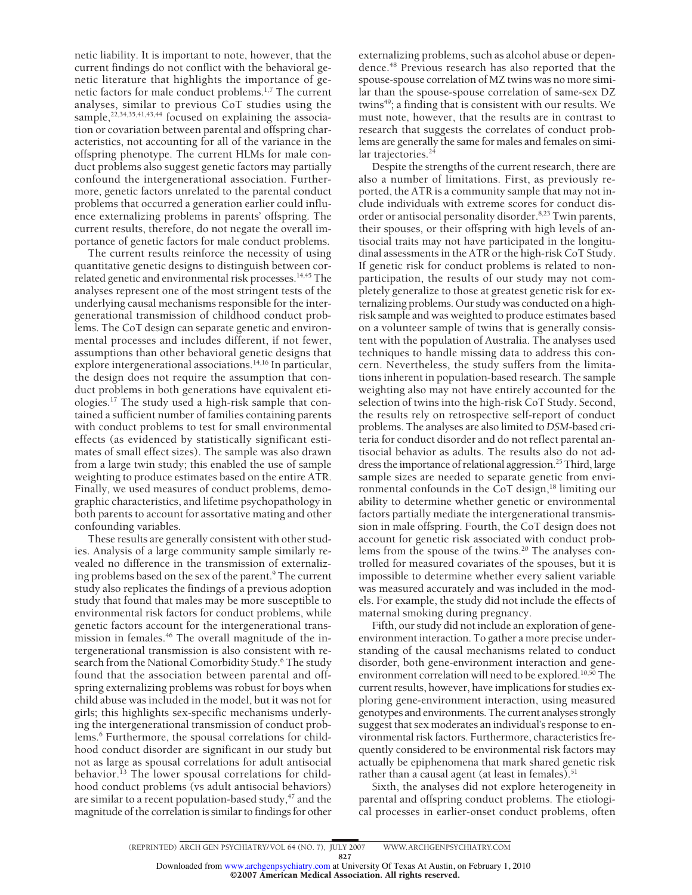netic liability. It is important to note, however, that the current findings do not conflict with the behavioral genetic literature that highlights the importance of genetic factors for male conduct problems.1,7 The current analyses, similar to previous CoT studies using the sample,<sup>22,34,35,41,43,44</sup> focused on explaining the association or covariation between parental and offspring characteristics, not accounting for all of the variance in the offspring phenotype. The current HLMs for male conduct problems also suggest genetic factors may partially confound the intergenerational association. Furthermore, genetic factors unrelated to the parental conduct problems that occurred a generation earlier could influence externalizing problems in parents' offspring. The current results, therefore, do not negate the overall importance of genetic factors for male conduct problems.

The current results reinforce the necessity of using quantitative genetic designs to distinguish between correlated genetic and environmental risk processes.14,45 The analyses represent one of the most stringent tests of the underlying causal mechanisms responsible for the intergenerational transmission of childhood conduct problems. The CoT design can separate genetic and environmental processes and includes different, if not fewer, assumptions than other behavioral genetic designs that explore intergenerational associations.<sup>14,16</sup> In particular, the design does not require the assumption that conduct problems in both generations have equivalent etiologies.17 The study used a high-risk sample that contained a sufficient number of families containing parents with conduct problems to test for small environmental effects (as evidenced by statistically significant estimates of small effect sizes). The sample was also drawn from a large twin study; this enabled the use of sample weighting to produce estimates based on the entire ATR. Finally, we used measures of conduct problems, demographic characteristics, and lifetime psychopathology in both parents to account for assortative mating and other confounding variables.

These results are generally consistent with other studies. Analysis of a large community sample similarly revealed no difference in the transmission of externalizing problems based on the sex of the parent.<sup>9</sup> The current study also replicates the findings of a previous adoption study that found that males may be more susceptible to environmental risk factors for conduct problems, while genetic factors account for the intergenerational transmission in females.46 The overall magnitude of the intergenerational transmission is also consistent with research from the National Comorbidity Study.<sup>6</sup> The study found that the association between parental and offspring externalizing problems was robust for boys when child abuse was included in the model, but it was not for girls; this highlights sex-specific mechanisms underlying the intergenerational transmission of conduct problems.<sup>6</sup> Furthermore, the spousal correlations for childhood conduct disorder are significant in our study but not as large as spousal correlations for adult antisocial behavior.<sup>13</sup> The lower spousal correlations for childhood conduct problems (vs adult antisocial behaviors) are similar to a recent population-based study, $47$  and the magnitude of the correlation is similar to findings for other

externalizing problems, such as alcohol abuse or dependence.48 Previous research has also reported that the spouse-spouse correlation of MZ twins was no more similar than the spouse-spouse correlation of same-sex DZ twins<sup>49</sup>; a finding that is consistent with our results. We must note, however, that the results are in contrast to research that suggests the correlates of conduct problems are generally the same for males and females on similar trajectories. $24$ 

Despite the strengths of the current research, there are also a number of limitations. First, as previously reported, the ATR is a community sample that may not include individuals with extreme scores for conduct disorder or antisocial personality disorder.8,23 Twin parents, their spouses, or their offspring with high levels of antisocial traits may not have participated in the longitudinal assessments in the ATR or the high-risk CoT Study. If genetic risk for conduct problems is related to nonparticipation, the results of our study may not completely generalize to those at greatest genetic risk for externalizing problems. Our study was conducted on a highrisk sample and was weighted to produce estimates based on a volunteer sample of twins that is generally consistent with the population of Australia. The analyses used techniques to handle missing data to address this concern. Nevertheless, the study suffers from the limitations inherent in population-based research. The sample weighting also may not have entirely accounted for the selection of twins into the high-risk CoT Study. Second, the results rely on retrospective self-report of conduct problems. The analyses are also limited to *DSM*-based criteria for conduct disorder and do not reflect parental antisocial behavior as adults. The results also do not address the importance of relational aggression.<sup>25</sup> Third, large sample sizes are needed to separate genetic from environmental confounds in the CoT design, $18$  limiting our ability to determine whether genetic or environmental factors partially mediate the intergenerational transmission in male offspring. Fourth, the CoT design does not account for genetic risk associated with conduct problems from the spouse of the twins.<sup>20</sup> The analyses controlled for measured covariates of the spouses, but it is impossible to determine whether every salient variable was measured accurately and was included in the models. For example, the study did not include the effects of maternal smoking during pregnancy.

Fifth, our study did not include an exploration of geneenvironment interaction. To gather a more precise understanding of the causal mechanisms related to conduct disorder, both gene-environment interaction and geneenvironment correlation will need to be explored.<sup>10,50</sup> The current results, however, have implications for studies exploring gene-environment interaction, using measured genotypes and environments. The current analyses strongly suggest that sex moderates an individual's response to environmental risk factors. Furthermore, characteristics frequently considered to be environmental risk factors may actually be epiphenomena that mark shared genetic risk rather than a causal agent (at least in females). $51$ 

Sixth, the analyses did not explore heterogeneity in parental and offspring conduct problems. The etiological processes in earlier-onset conduct problems, often

©2007 American Medical Association. All rights reserved. Downloaded from [www.archgenpsychiatry.com](http://www.archgenpsychiatry.com) at University Of Texas At Austin, on February 1, 2010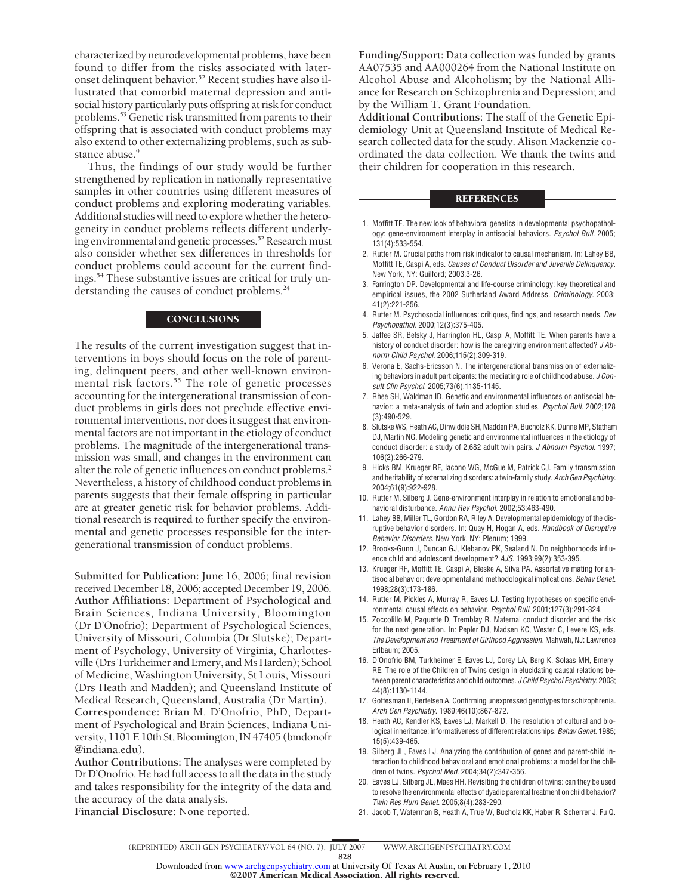characterized by neurodevelopmental problems, have been found to differ from the risks associated with lateronset delinquent behavior.52 Recent studies have also illustrated that comorbid maternal depression and antisocial history particularly puts offspring at risk for conduct problems.<sup>53</sup> Genetic risk transmitted from parents to their offspring that is associated with conduct problems may also extend to other externalizing problems, such as substance abuse.<sup>9</sup>

Thus, the findings of our study would be further strengthened by replication in nationally representative samples in other countries using different measures of conduct problems and exploring moderating variables. Additional studies will need to explore whether the heterogeneity in conduct problems reflects different underlying environmental and genetic processes.<sup>52</sup> Research must also consider whether sex differences in thresholds for conduct problems could account for the current findings.54 These substantive issues are critical for truly understanding the causes of conduct problems.<sup>24</sup>

## **CONCLUSIONS**

The results of the current investigation suggest that interventions in boys should focus on the role of parenting, delinquent peers, and other well-known environmental risk factors.<sup>55</sup> The role of genetic processes accounting for the intergenerational transmission of conduct problems in girls does not preclude effective environmental interventions, nor does it suggest that environmental factors are not important in the etiology of conduct problems. The magnitude of the intergenerational transmission was small, and changes in the environment can alter the role of genetic influences on conduct problems.<sup>2</sup> Nevertheless, a history of childhood conduct problems in parents suggests that their female offspring in particular are at greater genetic risk for behavior problems. Additional research is required to further specify the environmental and genetic processes responsible for the intergenerational transmission of conduct problems.

**Submitted for Publication:** June 16, 2006; final revision received December 18, 2006; accepted December 19, 2006. **Author Affiliations:** Department of Psychological and Brain Sciences, Indiana University, Bloomington (Dr D'Onofrio); Department of Psychological Sciences, University of Missouri, Columbia (Dr Slutske); Department of Psychology, University of Virginia, Charlottesville (Drs Turkheimer and Emery, and Ms Harden); School of Medicine, Washington University, St Louis, Missouri (Drs Heath and Madden); and Queensland Institute of Medical Research, Queensland, Australia (Dr Martin). **Correspondence:** Brian M. D'Onofrio, PhD, Department of Psychological and Brain Sciences, Indiana University, 1101 E 10th St, Bloomington, IN 47405 (bmdonofr @indiana.edu).

**Author Contributions:** The analyses were completed by Dr D'Onofrio. He had full access to all the data in the study and takes responsibility for the integrity of the data and the accuracy of the data analysis.

**Funding/Support:** Data collection was funded by grants AA07535 and AA000264 from the National Institute on Alcohol Abuse and Alcoholism; by the National Alliance for Research on Schizophrenia and Depression; and by the William T. Grant Foundation.

**Additional Contributions:** The staff of the Genetic Epidemiology Unit at Queensland Institute of Medical Research collected data for the study. Alison Mackenzie coordinated the data collection. We thank the twins and their children for cooperation in this research.

#### **REFERENCES**

- 1. Moffitt TE. The new look of behavioral genetics in developmental psychopathology: gene-environment interplay in antisocial behaviors. Psychol Bull. 2005; 131(4):533-554.
- 2. Rutter M. Crucial paths from risk indicator to causal mechanism. In: Lahey BB, Moffitt TE, Caspi A, eds. Causes of Conduct Disorder and Juvenile Delinquency. New York, NY: Guilford; 2003:3-26.
- 3. Farrington DP. Developmental and life-course criminology: key theoretical and empirical issues, the 2002 Sutherland Award Address. Criminology. 2003; 41(2):221-256.
- 4. Rutter M. Psychosocial influences: critiques, findings, and research needs. Dev Psychopathol. 2000;12(3):375-405.
- 5. Jaffee SR, Belsky J, Harrington HL, Caspi A, Moffitt TE. When parents have a history of conduct disorder: how is the caregiving environment affected? J Abnorm Child Psychol. 2006;115(2):309-319.
- 6. Verona E, Sachs-Ericsson N. The intergenerational transmission of externalizing behaviors in adult participants: the mediating role of childhood abuse. J Consult Clin Psychol. 2005;73(6):1135-1145.
- 7. Rhee SH, Waldman ID. Genetic and environmental influences on antisocial behavior: a meta-analysis of twin and adoption studies. Psychol Bull. 2002:128 (3):490-529.
- 8. Slutske WS, Heath AC, Dinwiddie SH, Madden PA, Bucholz KK, Dunne MP, Statham DJ, Martin NG. Modeling genetic and environmental influences in the etiology of conduct disorder: a study of 2,682 adult twin pairs. J Abnorm Psychol. 1997; 106(2):266-279.
- 9. Hicks BM, Krueger RF, Iacono WG, McGue M, Patrick CJ. Family transmission and heritability of externalizing disorders: a twin-family study. Arch Gen Psychiatry. 2004;61(9):922-928.
- 10. Rutter M, Silberg J. Gene-environment interplay in relation to emotional and behavioral disturbance. Annu Rev Psychol. 2002;53:463-490.
- 11. Lahey BB, Miller TL, Gordon RA, Riley A. Developmental epidemiology of the disruptive behavior disorders. In: Quay H, Hogan A, eds. Handbook of Disruptive Behavior Disorders. New York, NY: Plenum; 1999.
- 12. Brooks-Gunn J, Duncan GJ, Klebanov PK, Sealand N. Do neighborhoods influence child and adolescent development? AJS. 1993;99(2):353-395.
- 13. Krueger RF, Moffitt TE, Caspi A, Bleske A, Silva PA. Assortative mating for antisocial behavior: developmental and methodological implications. Behav Genet. 1998;28(3):173-186.
- 14. Rutter M, Pickles A, Murray R, Eaves LJ. Testing hypotheses on specific environmental causal effects on behavior. Psychol Bull. 2001;127(3):291-324.
- 15. Zoccolillo M, Paquette D, Tremblay R. Maternal conduct disorder and the risk for the next generation. In: Pepler DJ, Madsen KC, Wester C, Levere KS, eds. The Development and Treatment of Girlhood Aggression. Mahwah, NJ: Lawrence Erlbaum; 2005.
- 16. D'Onofrio BM, Turkheimer E, Eaves LJ, Corey LA, Berg K, Solaas MH, Emery RE. The role of the Children of Twins design in elucidating causal relations between parent characteristics and child outcomes. J Child Psychol Psychiatry. 2003; 44(8):1130-1144.
- 17. Gottesman II, Bertelsen A. Confirming unexpressed genotypes for schizophrenia. Arch Gen Psychiatry. 1989;46(10):867-872.
- 18. Heath AC, Kendler KS, Eaves LJ, Markell D. The resolution of cultural and biological inheritance: informativeness of different relationships. Behav Genet. 1985; 15(5):439-465.
- 19. Silberg JL, Eaves LJ. Analyzing the contribution of genes and parent-child interaction to childhood behavioral and emotional problems: a model for the children of twins. Psychol Med. 2004;34(2):347-356.
- 20. Eaves LJ, Silberg JL, Maes HH. Revisiting the children of twins: can they be used to resolve the environmental effects of dyadic parental treatment on child behavior? Twin Res Hum Genet. 2005;8(4):283-290.
- 21. Jacob T, Waterman B, Heath A, True W, Bucholz KK, Haber R, Scherrer J, Fu Q.

**Financial Disclosure:** None reported.

828

©2007 American Medical Association. All rights reserved. Downloaded from [www.archgenpsychiatry.com](http://www.archgenpsychiatry.com) at University Of Texas At Austin, on February 1, 2010